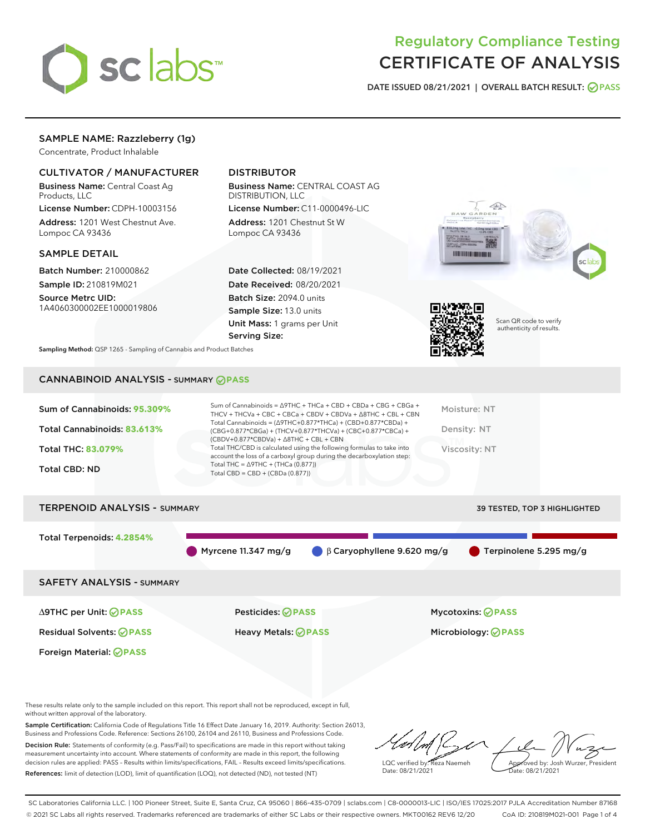

## Regulatory Compliance Testing CERTIFICATE OF ANALYSIS

DATE ISSUED 08/21/2021 | OVERALL BATCH RESULT: @ PASS

## SAMPLE NAME: Razzleberry (1g)

Concentrate, Product Inhalable

## CULTIVATOR / MANUFACTURER

Business Name: Central Coast Ag Products, LLC

License Number: CDPH-10003156 Address: 1201 West Chestnut Ave. Lompoc CA 93436

#### SAMPLE DETAIL

Batch Number: 210000862 Sample ID: 210819M021

Source Metrc UID: 1A4060300002EE1000019806

## DISTRIBUTOR

Business Name: CENTRAL COAST AG DISTRIBUTION, LLC License Number: C11-0000496-LIC

Address: 1201 Chestnut St W Lompoc CA 93436

Date Collected: 08/19/2021 Date Received: 08/20/2021 Batch Size: 2094.0 units Sample Size: 13.0 units Unit Mass: 1 grams per Unit Serving Size:





Scan QR code to verify authenticity of results.

Sampling Method: QSP 1265 - Sampling of Cannabis and Product Batches

## CANNABINOID ANALYSIS - SUMMARY **PASS**

| Sum of Cannabinoids: 95.309% | Sum of Cannabinoids = $\triangle$ 9THC + THCa + CBD + CBDa + CBG + CBGa +<br>THCV + THCVa + CBC + CBCa + CBDV + CBDVa + $\Delta$ 8THC + CBL + CBN                                    | Moisture: NT  |
|------------------------------|--------------------------------------------------------------------------------------------------------------------------------------------------------------------------------------|---------------|
| Total Cannabinoids: 83.613%  | Total Cannabinoids = $(\Delta$ 9THC+0.877*THCa) + (CBD+0.877*CBDa) +<br>(CBG+0.877*CBGa) + (THCV+0.877*THCVa) + (CBC+0.877*CBCa) +<br>$(CBDV+0.877*CBDVa) + \Delta 8THC + CBL + CBN$ | Density: NT   |
| Total THC: 83.079%           | Total THC/CBD is calculated using the following formulas to take into<br>account the loss of a carboxyl group during the decarboxylation step:                                       | Viscosity: NT |
| <b>Total CBD: ND</b>         | Total THC = $\triangle$ 9THC + (THCa (0.877))<br>Total CBD = $CBD + (CBDa (0.877))$                                                                                                  |               |
|                              |                                                                                                                                                                                      |               |

# TERPENOID ANALYSIS - SUMMARY 39 TESTED, TOP 3 HIGHLIGHTED Total Terpenoids: **4.2854%** Myrcene 11.347 mg/g  $\bigcirc$  β Caryophyllene 9.620 mg/g  $\bigcirc$  Terpinolene 5.295 mg/g SAFETY ANALYSIS - SUMMARY

Foreign Material: **PASS**

∆9THC per Unit: **PASS** Pesticides: **PASS** Mycotoxins: **PASS**

Residual Solvents: **PASS** Heavy Metals: **PASS** Microbiology: **PASS**

These results relate only to the sample included on this report. This report shall not be reproduced, except in full, without written approval of the laboratory.

Sample Certification: California Code of Regulations Title 16 Effect Date January 16, 2019. Authority: Section 26013, Business and Professions Code. Reference: Sections 26100, 26104 and 26110, Business and Professions Code. Decision Rule: Statements of conformity (e.g. Pass/Fail) to specifications are made in this report without taking measurement uncertainty into account. Where statements of conformity are made in this report, the following decision rules are applied: PASS – Results within limits/specifications, FAIL – Results exceed limits/specifications.

References: limit of detection (LOD), limit of quantification (LOQ), not detected (ND), not tested (NT)

LQC verified by: Reza Naemeh Date: 08/21/2021 Approved by: Josh Wurzer, President Date: 08/21/2021

SC Laboratories California LLC. | 100 Pioneer Street, Suite E, Santa Cruz, CA 95060 | 866-435-0709 | sclabs.com | C8-0000013-LIC | ISO/IES 17025:2017 PJLA Accreditation Number 87168 © 2021 SC Labs all rights reserved. Trademarks referenced are trademarks of either SC Labs or their respective owners. MKT00162 REV6 12/20 CoA ID: 210819M021-001 Page 1 of 4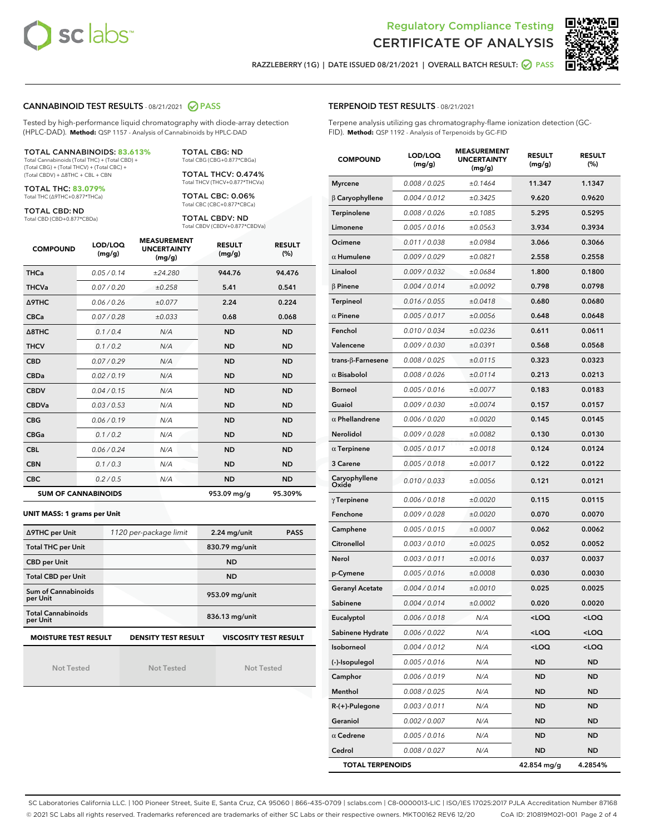



RAZZLEBERRY (1G) | DATE ISSUED 08/21/2021 | OVERALL BATCH RESULT:  $\bigotimes$  PASS

### CANNABINOID TEST RESULTS - 08/21/2021 2 PASS

Tested by high-performance liquid chromatography with diode-array detection (HPLC-DAD). **Method:** QSP 1157 - Analysis of Cannabinoids by HPLC-DAD

#### TOTAL CANNABINOIDS: **83.613%**

Total Cannabinoids (Total THC) + (Total CBD) + (Total CBG) + (Total THCV) + (Total CBC) + (Total CBDV) + ∆8THC + CBL + CBN

TOTAL THC: **83.079%** Total THC (∆9THC+0.877\*THCa)

TOTAL CBD: ND

Total CBD (CBD+0.877\*CBDa)

TOTAL CBG: ND Total CBG (CBG+0.877\*CBGa)

TOTAL THCV: 0.474% Total THCV (THCV+0.877\*THCVa)

TOTAL CBC: 0.06% Total CBC (CBC+0.877\*CBCa)

TOTAL CBDV: ND Total CBDV (CBDV+0.877\*CBDVa)

| <b>COMPOUND</b>  | LOD/LOQ<br>(mg/g)          | <b>MEASUREMENT</b><br><b>UNCERTAINTY</b><br>(mg/g) | <b>RESULT</b><br>(mg/g) | <b>RESULT</b><br>(%) |
|------------------|----------------------------|----------------------------------------------------|-------------------------|----------------------|
| <b>THCa</b>      | 0.05/0.14                  | ±24.280                                            | 944.76                  | 94.476               |
| <b>THCVa</b>     | 0.07 / 0.20                | ±0.258                                             | 5.41                    | 0.541                |
| <b>A9THC</b>     | 0.06 / 0.26                | ±0.077                                             | 2.24                    | 0.224                |
| <b>CBCa</b>      | 0.07 / 0.28                | ±0.033                                             | 0.68                    | 0.068                |
| $\triangle$ 8THC | 0.1/0.4                    | N/A                                                | <b>ND</b>               | <b>ND</b>            |
| <b>THCV</b>      | 0.1/0.2                    | N/A                                                | <b>ND</b>               | <b>ND</b>            |
| <b>CBD</b>       | 0.07/0.29                  | N/A                                                | <b>ND</b>               | <b>ND</b>            |
| <b>CBDa</b>      | 0.02/0.19                  | N/A                                                | <b>ND</b>               | <b>ND</b>            |
| <b>CBDV</b>      | 0.04 / 0.15                | N/A                                                | <b>ND</b>               | <b>ND</b>            |
| <b>CBDVa</b>     | 0.03/0.53                  | N/A                                                | <b>ND</b>               | <b>ND</b>            |
| <b>CBG</b>       | 0.06/0.19                  | N/A                                                | <b>ND</b>               | <b>ND</b>            |
| <b>CBGa</b>      | 0.1/0.2                    | N/A                                                | <b>ND</b>               | <b>ND</b>            |
| <b>CBL</b>       | 0.06 / 0.24                | N/A                                                | <b>ND</b>               | <b>ND</b>            |
| <b>CBN</b>       | 0.1/0.3                    | N/A                                                | <b>ND</b>               | <b>ND</b>            |
| <b>CBC</b>       | 0.2 / 0.5                  | N/A                                                | <b>ND</b>               | <b>ND</b>            |
|                  | <b>SUM OF CANNABINOIDS</b> |                                                    | 953.09 mg/g             | 95.309%              |

#### **UNIT MASS: 1 grams per Unit**

| ∆9THC per Unit                                                                            | 1120 per-package limit | $2.24$ mg/unit<br><b>PASS</b> |  |  |
|-------------------------------------------------------------------------------------------|------------------------|-------------------------------|--|--|
| <b>Total THC per Unit</b>                                                                 |                        | 830.79 mg/unit                |  |  |
| <b>CBD per Unit</b>                                                                       |                        | <b>ND</b>                     |  |  |
| <b>Total CBD per Unit</b>                                                                 |                        | <b>ND</b>                     |  |  |
| Sum of Cannabinoids<br>per Unit                                                           |                        | 953.09 mg/unit                |  |  |
| <b>Total Cannabinoids</b><br>per Unit                                                     |                        | 836.13 mg/unit                |  |  |
| <b>VISCOSITY TEST RESULT</b><br><b>MOISTURE TEST RESULT</b><br><b>DENSITY TEST RESULT</b> |                        |                               |  |  |

Not Tested

Not Tested

Not Tested

| <b>TERPENOID TEST RESULTS - 08/21/2021</b> |
|--------------------------------------------|
|--------------------------------------------|

Terpene analysis utilizing gas chromatography-flame ionization detection (GC-FID). **Method:** QSP 1192 - Analysis of Terpenoids by GC-FID

| <b>COMPOUND</b>          | LOD/LOQ<br>(mg/g) | <b>MEASUREMENT</b><br><b>UNCERTAINTY</b><br>(mg/g) | <b>RESULT</b><br>(mg/g)                         | <b>RESULT</b><br>$(\%)$ |
|--------------------------|-------------------|----------------------------------------------------|-------------------------------------------------|-------------------------|
| <b>Myrcene</b>           | 0.008 / 0.025     | ±0.1464                                            | 11.347                                          | 1.1347                  |
| $\beta$ Caryophyllene    | 0.004 / 0.012     | ±0.3425                                            | 9.620                                           | 0.9620                  |
| Terpinolene              | 0.008 / 0.026     | ±0.1085                                            | 5.295                                           | 0.5295                  |
| Limonene                 | 0.005 / 0.016     | ±0.0563                                            | 3.934                                           | 0.3934                  |
| Ocimene                  | 0.011/0.038       | ±0.0984                                            | 3.066                                           | 0.3066                  |
| $\alpha$ Humulene        | 0.009/0.029       | ±0.0821                                            | 2.558                                           | 0.2558                  |
| Linalool                 | 0.009 / 0.032     | ±0.0684                                            | 1.800                                           | 0.1800                  |
| $\beta$ Pinene           | 0.004 / 0.014     | ±0.0092                                            | 0.798                                           | 0.0798                  |
| <b>Terpineol</b>         | 0.016 / 0.055     | ±0.0418                                            | 0.680                                           | 0.0680                  |
| $\alpha$ Pinene          | 0.005 / 0.017     | ±0.0056                                            | 0.648                                           | 0.0648                  |
| Fenchol                  | 0.010 / 0.034     | ±0.0236                                            | 0.611                                           | 0.0611                  |
| Valencene                | 0.009 / 0.030     | ±0.0391                                            | 0.568                                           | 0.0568                  |
| $trans-\beta$ -Farnesene | 0.008 / 0.025     | ±0.0115                                            | 0.323                                           | 0.0323                  |
| $\alpha$ Bisabolol       | 0.008 / 0.026     | ±0.0114                                            | 0.213                                           | 0.0213                  |
| <b>Borneol</b>           | 0.005 / 0.016     | ±0.0077                                            | 0.183                                           | 0.0183                  |
| Guaiol                   | 0.009 / 0.030     | ±0.0074                                            | 0.157                                           | 0.0157                  |
| $\alpha$ Phellandrene    | 0.006 / 0.020     | ±0.0020                                            | 0.145                                           | 0.0145                  |
| Nerolidol                | 0.009 / 0.028     | ±0.0082                                            | 0.130                                           | 0.0130                  |
| $\alpha$ Terpinene       | 0.005 / 0.017     | ±0.0018                                            | 0.124                                           | 0.0124                  |
| 3 Carene                 | 0.005 / 0.018     | ±0.0017                                            | 0.122                                           | 0.0122                  |
| Caryophyllene<br>Oxide   | 0.010 / 0.033     | ±0.0056                                            | 0.121                                           | 0.0121                  |
| $\gamma$ Terpinene       | 0.006 / 0.018     | ±0.0020                                            | 0.115                                           | 0.0115                  |
| Fenchone                 | 0.009 / 0.028     | ±0.0020                                            | 0.070                                           | 0.0070                  |
| Camphene                 | 0.005 / 0.015     | ±0.0007                                            | 0.062                                           | 0.0062                  |
| Citronellol              | 0.003 / 0.010     | ±0.0025                                            | 0.052                                           | 0.0052                  |
| Nerol                    | 0.003 / 0.011     | ±0.0016                                            | 0.037                                           | 0.0037                  |
| p-Cymene                 | 0.005 / 0.016     | ±0.0008                                            | 0.030                                           | 0.0030                  |
| Geranyl Acetate          | 0.004 / 0.014     | ±0.0010                                            | 0.025                                           | 0.0025                  |
| Sabinene                 | 0.004 / 0.014     | ±0.0002                                            | 0.020                                           | 0.0020                  |
| Eucalyptol               | 0.006 / 0.018     | N/A                                                | <loq< th=""><th><loq< th=""></loq<></th></loq<> | <loq< th=""></loq<>     |
| Sabinene Hydrate         | 0.006 / 0.022     | N/A                                                | <loq< th=""><th><loq< th=""></loq<></th></loq<> | <loq< th=""></loq<>     |
| Isoborneol               | 0.004 / 0.012     | N/A                                                | <loq< th=""><th><loq< th=""></loq<></th></loq<> | <loq< th=""></loq<>     |
| (-)-Isopulegol           | 0.005 / 0.016     | N/A                                                | <b>ND</b>                                       | <b>ND</b>               |
| Camphor                  | 0.006 / 0.019     | N/A                                                | <b>ND</b>                                       | <b>ND</b>               |
| Menthol                  | 0.008 / 0.025     | N/A                                                | ND                                              | ND                      |
| R-(+)-Pulegone           | 0.003 / 0.011     | N/A                                                | ND                                              | ND                      |
| Geraniol                 | 0.002 / 0.007     | N/A                                                | <b>ND</b>                                       | <b>ND</b>               |
| $\alpha$ Cedrene         | 0.005 / 0.016     | N/A                                                | ND                                              | ND                      |
| Cedrol                   | 0.008 / 0.027     | N/A                                                | <b>ND</b>                                       | ND                      |
| <b>TOTAL TERPENOIDS</b>  |                   | 42.854 mg/g                                        | 4.2854%                                         |                         |

SC Laboratories California LLC. | 100 Pioneer Street, Suite E, Santa Cruz, CA 95060 | 866-435-0709 | sclabs.com | C8-0000013-LIC | ISO/IES 17025:2017 PJLA Accreditation Number 87168 © 2021 SC Labs all rights reserved. Trademarks referenced are trademarks of either SC Labs or their respective owners. MKT00162 REV6 12/20 CoA ID: 210819M021-001 Page 2 of 4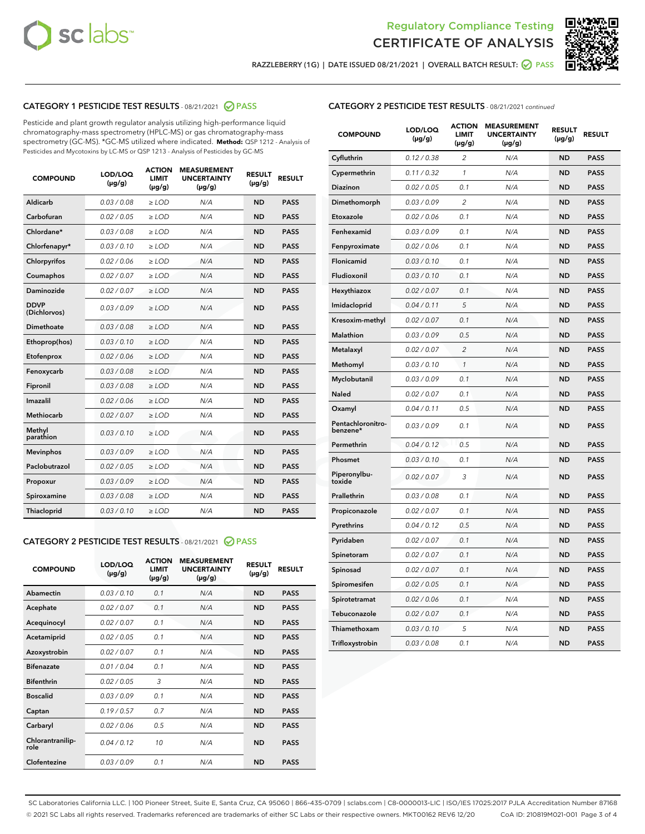



RAZZLEBERRY (1G) | DATE ISSUED 08/21/2021 | OVERALL BATCH RESULT:  $\bigcirc$  PASS

## CATEGORY 1 PESTICIDE TEST RESULTS - 08/21/2021 2 PASS

Pesticide and plant growth regulator analysis utilizing high-performance liquid chromatography-mass spectrometry (HPLC-MS) or gas chromatography-mass spectrometry (GC-MS). \*GC-MS utilized where indicated. **Method:** QSP 1212 - Analysis of Pesticides and Mycotoxins by LC-MS or QSP 1213 - Analysis of Pesticides by GC-MS

| <b>COMPOUND</b>             | LOD/LOQ<br>$(\mu g/g)$ | <b>ACTION</b><br><b>LIMIT</b><br>$(\mu g/g)$ | <b>MEASUREMENT</b><br><b>UNCERTAINTY</b><br>$(\mu g/g)$ | <b>RESULT</b><br>$(\mu g/g)$ | <b>RESULT</b> |
|-----------------------------|------------------------|----------------------------------------------|---------------------------------------------------------|------------------------------|---------------|
| Aldicarb                    | 0.03 / 0.08            | $\ge$ LOD                                    | N/A                                                     | <b>ND</b>                    | <b>PASS</b>   |
| Carbofuran                  | 0.02 / 0.05            | $\geq$ LOD                                   | N/A                                                     | <b>ND</b>                    | <b>PASS</b>   |
| Chlordane*                  | 0.03 / 0.08            | $\ge$ LOD                                    | N/A                                                     | <b>ND</b>                    | <b>PASS</b>   |
| Chlorfenapyr*               | 0.03/0.10              | $\geq$ LOD                                   | N/A                                                     | <b>ND</b>                    | <b>PASS</b>   |
| Chlorpyrifos                | 0.02 / 0.06            | $\ge$ LOD                                    | N/A                                                     | <b>ND</b>                    | <b>PASS</b>   |
| Coumaphos                   | 0.02 / 0.07            | $\ge$ LOD                                    | N/A                                                     | <b>ND</b>                    | <b>PASS</b>   |
| Daminozide                  | 0.02 / 0.07            | $\ge$ LOD                                    | N/A                                                     | <b>ND</b>                    | <b>PASS</b>   |
| <b>DDVP</b><br>(Dichlorvos) | 0.03/0.09              | $>$ LOD                                      | N/A                                                     | <b>ND</b>                    | <b>PASS</b>   |
| Dimethoate                  | 0.03/0.08              | $\ge$ LOD                                    | N/A                                                     | <b>ND</b>                    | <b>PASS</b>   |
| Ethoprop(hos)               | 0.03/0.10              | $>$ LOD                                      | N/A                                                     | <b>ND</b>                    | <b>PASS</b>   |
| Etofenprox                  | 0.02 / 0.06            | $\ge$ LOD                                    | N/A                                                     | <b>ND</b>                    | <b>PASS</b>   |
| Fenoxycarb                  | 0.03/0.08              | $\ge$ LOD                                    | N/A                                                     | <b>ND</b>                    | <b>PASS</b>   |
| Fipronil                    | 0.03/0.08              | $\ge$ LOD                                    | N/A                                                     | <b>ND</b>                    | <b>PASS</b>   |
| Imazalil                    | 0.02 / 0.06            | $>$ LOD                                      | N/A                                                     | <b>ND</b>                    | <b>PASS</b>   |
| <b>Methiocarb</b>           | 0.02 / 0.07            | $\ge$ LOD                                    | N/A                                                     | <b>ND</b>                    | <b>PASS</b>   |
| Methyl<br>parathion         | 0.03/0.10              | $\ge$ LOD                                    | N/A                                                     | <b>ND</b>                    | <b>PASS</b>   |
| <b>Mevinphos</b>            | 0.03/0.09              | $\ge$ LOD                                    | N/A                                                     | <b>ND</b>                    | <b>PASS</b>   |
| Paclobutrazol               | 0.02 / 0.05            | $>$ LOD                                      | N/A                                                     | <b>ND</b>                    | <b>PASS</b>   |
| Propoxur                    | 0.03/0.09              | $\ge$ LOD                                    | N/A                                                     | <b>ND</b>                    | <b>PASS</b>   |
| Spiroxamine                 | 0.03/0.08              | $\ge$ LOD                                    | N/A                                                     | <b>ND</b>                    | <b>PASS</b>   |
| Thiacloprid                 | 0.03/0.10              | $\ge$ LOD                                    | N/A                                                     | <b>ND</b>                    | <b>PASS</b>   |

## CATEGORY 2 PESTICIDE TEST RESULTS - 08/21/2021 @ PASS

| <b>COMPOUND</b>          | LOD/LOQ<br>$(\mu g/g)$ | <b>ACTION</b><br><b>LIMIT</b><br>$(\mu g/g)$ | <b>MEASUREMENT</b><br><b>UNCERTAINTY</b><br>$(\mu g/g)$ | <b>RESULT</b><br>$(\mu g/g)$ | <b>RESULT</b> |
|--------------------------|------------------------|----------------------------------------------|---------------------------------------------------------|------------------------------|---------------|
| Abamectin                | 0.03/0.10              | 0.1                                          | N/A                                                     | <b>ND</b>                    | <b>PASS</b>   |
| Acephate                 | 0.02/0.07              | 0.1                                          | N/A                                                     | <b>ND</b>                    | <b>PASS</b>   |
| Acequinocyl              | 0.02/0.07              | 0.1                                          | N/A                                                     | <b>ND</b>                    | <b>PASS</b>   |
| Acetamiprid              | 0.02/0.05              | 0.1                                          | N/A                                                     | <b>ND</b>                    | <b>PASS</b>   |
| Azoxystrobin             | 0.02/0.07              | 0.1                                          | N/A                                                     | <b>ND</b>                    | <b>PASS</b>   |
| <b>Bifenazate</b>        | 0.01/0.04              | 0.1                                          | N/A                                                     | <b>ND</b>                    | <b>PASS</b>   |
| <b>Bifenthrin</b>        | 0.02/0.05              | 3                                            | N/A                                                     | <b>ND</b>                    | <b>PASS</b>   |
| <b>Boscalid</b>          | 0.03/0.09              | 0.1                                          | N/A                                                     | <b>ND</b>                    | <b>PASS</b>   |
| Captan                   | 0.19/0.57              | 0.7                                          | N/A                                                     | <b>ND</b>                    | <b>PASS</b>   |
| Carbaryl                 | 0.02/0.06              | 0.5                                          | N/A                                                     | <b>ND</b>                    | <b>PASS</b>   |
| Chlorantranilip-<br>role | 0.04/0.12              | 10                                           | N/A                                                     | <b>ND</b>                    | <b>PASS</b>   |
| Clofentezine             | 0.03/0.09              | 0.1                                          | N/A                                                     | <b>ND</b>                    | <b>PASS</b>   |

## CATEGORY 2 PESTICIDE TEST RESULTS - 08/21/2021 continued

| <b>COMPOUND</b>               | LOD/LOQ<br>(µg/g) | <b>ACTION</b><br><b>LIMIT</b><br>$(\mu g/g)$ | <b>MEASUREMENT</b><br><b>UNCERTAINTY</b><br>$(\mu g/g)$ | <b>RESULT</b><br>(µg/g) | <b>RESULT</b> |
|-------------------------------|-------------------|----------------------------------------------|---------------------------------------------------------|-------------------------|---------------|
| Cyfluthrin                    | 0.12 / 0.38       | 2                                            | N/A                                                     | <b>ND</b>               | <b>PASS</b>   |
| Cypermethrin                  | 0.11 / 0.32       | $\mathbf{1}$                                 | N/A                                                     | <b>ND</b>               | <b>PASS</b>   |
| <b>Diazinon</b>               | 0.02 / 0.05       | 0.1                                          | N/A                                                     | <b>ND</b>               | <b>PASS</b>   |
| Dimethomorph                  | 0.03 / 0.09       | 2                                            | N/A                                                     | ND                      | PASS          |
| Etoxazole                     | 0.02 / 0.06       | 0.1                                          | N/A                                                     | <b>ND</b>               | <b>PASS</b>   |
| Fenhexamid                    | 0.03 / 0.09       | 0.1                                          | N/A                                                     | <b>ND</b>               | <b>PASS</b>   |
| Fenpyroximate                 | 0.02 / 0.06       | 0.1                                          | N/A                                                     | ND                      | <b>PASS</b>   |
| Flonicamid                    | 0.03 / 0.10       | 0.1                                          | N/A                                                     | <b>ND</b>               | <b>PASS</b>   |
| Fludioxonil                   | 0.03 / 0.10       | 0.1                                          | N/A                                                     | <b>ND</b>               | <b>PASS</b>   |
| Hexythiazox                   | 0.02 / 0.07       | 0.1                                          | N/A                                                     | <b>ND</b>               | <b>PASS</b>   |
| Imidacloprid                  | 0.04 / 0.11       | 5                                            | N/A                                                     | <b>ND</b>               | <b>PASS</b>   |
| Kresoxim-methyl               | 0.02 / 0.07       | 0.1                                          | N/A                                                     | <b>ND</b>               | <b>PASS</b>   |
| <b>Malathion</b>              | 0.03 / 0.09       | 0.5                                          | N/A                                                     | ND                      | PASS          |
| Metalaxyl                     | 0.02 / 0.07       | $\overline{2}$                               | N/A                                                     | <b>ND</b>               | <b>PASS</b>   |
| Methomyl                      | 0.03 / 0.10       | $\mathcal{I}$                                | N/A                                                     | <b>ND</b>               | <b>PASS</b>   |
| Myclobutanil                  | 0.03 / 0.09       | 0.1                                          | N/A                                                     | <b>ND</b>               | <b>PASS</b>   |
| <b>Naled</b>                  | 0.02 / 0.07       | 0.1                                          | N/A                                                     | <b>ND</b>               | <b>PASS</b>   |
| Oxamyl                        | 0.04 / 0.11       | 0.5                                          | N/A                                                     | ND                      | <b>PASS</b>   |
| Pentachloronitro-<br>benzene* | 0.03 / 0.09       | 0.1                                          | N/A                                                     | <b>ND</b>               | <b>PASS</b>   |
| Permethrin                    | 0.04 / 0.12       | 0.5                                          | N/A                                                     | <b>ND</b>               | PASS          |
| Phosmet                       | 0.03/0.10         | 0.1                                          | N/A                                                     | <b>ND</b>               | <b>PASS</b>   |
| Piperonylbu-<br>toxide        | 0.02 / 0.07       | 3                                            | N/A                                                     | <b>ND</b>               | <b>PASS</b>   |
| Prallethrin                   | 0.03 / 0.08       | 0.1                                          | N/A                                                     | <b>ND</b>               | <b>PASS</b>   |
| Propiconazole                 | 0.02 / 0.07       | 0.1                                          | N/A                                                     | <b>ND</b>               | <b>PASS</b>   |
| Pyrethrins                    | 0.04 / 0.12       | 0.5                                          | N/A                                                     | <b>ND</b>               | <b>PASS</b>   |
| Pyridaben                     | 0.02 / 0.07       | 0.1                                          | N/A                                                     | <b>ND</b>               | PASS          |
| Spinetoram                    | 0.02 / 0.07       | 0.1                                          | N/A                                                     | <b>ND</b>               | <b>PASS</b>   |
| Spinosad                      | 0.02 / 0.07       | 0.1                                          | N/A                                                     | <b>ND</b>               | <b>PASS</b>   |
| Spiromesifen                  | 0.02 / 0.05       | 0.1                                          | N/A                                                     | ND                      | PASS          |
| Spirotetramat                 | 0.02 / 0.06       | 0.1                                          | N/A                                                     | ND                      | <b>PASS</b>   |
| Tebuconazole                  | 0.02 / 0.07       | 0.1                                          | N/A                                                     | <b>ND</b>               | <b>PASS</b>   |
| Thiamethoxam                  | 0.03 / 0.10       | 5                                            | N/A                                                     | ND                      | <b>PASS</b>   |
| Trifloxystrobin               | 0.03 / 0.08       | 0.1                                          | N/A                                                     | <b>ND</b>               | <b>PASS</b>   |

SC Laboratories California LLC. | 100 Pioneer Street, Suite E, Santa Cruz, CA 95060 | 866-435-0709 | sclabs.com | C8-0000013-LIC | ISO/IES 17025:2017 PJLA Accreditation Number 87168 © 2021 SC Labs all rights reserved. Trademarks referenced are trademarks of either SC Labs or their respective owners. MKT00162 REV6 12/20 CoA ID: 210819M021-001 Page 3 of 4